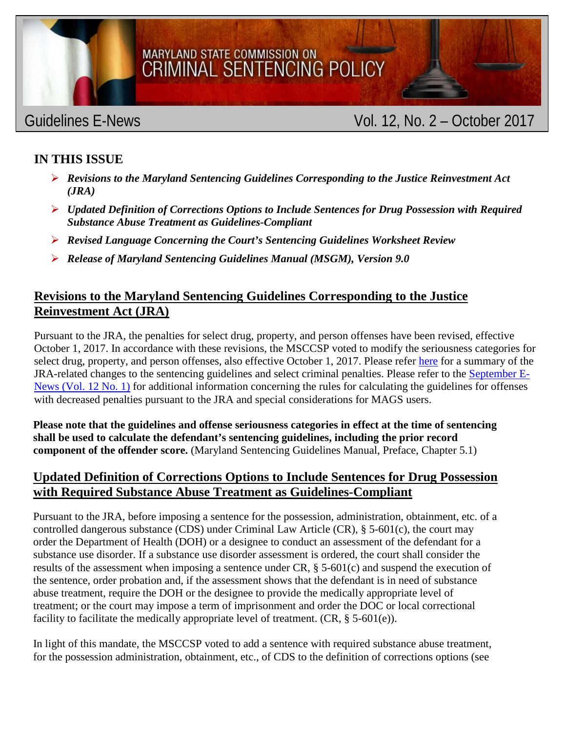

# MARYLAND STATE COMMISSION ON CRIMINAL SENTENCING POLICY

## Guidelines E-News **Calculation** Col. 12, No. 2 – October 2017

### **IN THIS ISSUE**

- *Revisions to the Maryland Sentencing Guidelines Corresponding to the Justice Reinvestment Act (JRA)*
- *Updated Definition of Corrections Options to Include Sentences for Drug Possession with Required Substance Abuse Treatment as Guidelines-Compliant*
- *Revised Language Concerning the Court's Sentencing Guidelines Worksheet Review*
- *Release of Maryland Sentencing Guidelines Manual (MSGM), Version 9.0*

#### **Revisions to the Maryland Sentencing Guidelines Corresponding to the Justice Reinvestment Act (JRA)**

Pursuant to the JRA, the penalties for select drug, property, and person offenses have been revised, effective October 1, 2017. In accordance with these revisions, the MSCCSP voted to modify the seriousness categories for select drug, property, and person offenses, also effective October 1, 2017. Please refer [here](http://msccsp.org/Files/Guidelines/JRA_penalty_revisions.pdf) for a summary of the JRA-related changes to the sentencing guidelines and select criminal penalties. Please refer to the [September E-](http://www.msccsp.org/Files/Reports/Enews/ENews12_1.pdf)[News \(Vol. 12 No.](http://www.msccsp.org/Files/Reports/Enews/ENews12_1.pdf) 1) for additional information concerning the rules for calculating the guidelines for offenses with decreased penalties pursuant to the JRA and special considerations for MAGS users.

**Please note that the guidelines and offense seriousness categories in effect at the time of sentencing shall be used to calculate the defendant's sentencing guidelines, including the prior record component of the offender score.** (Maryland Sentencing Guidelines Manual, Preface, Chapter 5.1)

#### **Updated Definition of Corrections Options to Include Sentences for Drug Possession with Required Substance Abuse Treatment as Guidelines-Compliant**

Pursuant to the JRA, before imposing a sentence for the possession, administration, obtainment, etc. of a controlled dangerous substance (CDS) under Criminal Law Article (CR),  $\S$  5-601(c), the court may order the Department of Health (DOH) or a designee to conduct an assessment of the defendant for a substance use disorder. If a substance use disorder assessment is ordered, the court shall consider the results of the assessment when imposing a sentence under CR, § 5-601(c) and suspend the execution of the sentence, order probation and, if the assessment shows that the defendant is in need of substance abuse treatment, require the DOH or the designee to provide the medically appropriate level of treatment; or the court may impose a term of imprisonment and order the DOC or local correctional facility to facilitate the medically appropriate level of treatment.  $(CR, \S 5-601(e))$ .

In light of this mandate, the MSCCSP voted to add a sentence with required substance abuse treatment, for the possession administration, obtainment, etc., of CDS to the definition of corrections options (see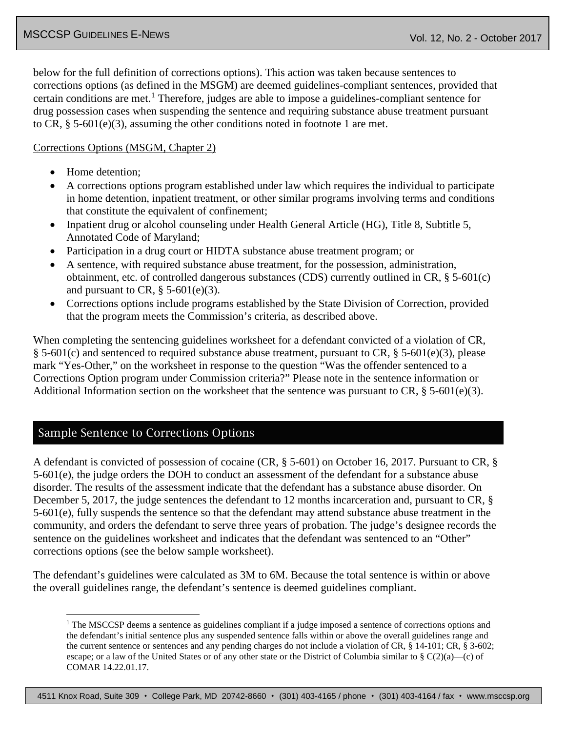below for the full definition of corrections options). This action was taken because sentences to corrections options (as defined in the MSGM) are deemed guidelines-compliant sentences, provided that certain conditions are met. [1](#page-1-0) Therefore, judges are able to impose a guidelines-compliant sentence for drug possession cases when suspending the sentence and requiring substance abuse treatment pursuant to CR,  $\S$  5-601(e)(3), assuming the other conditions noted in footnote 1 are met.

#### Corrections Options (MSGM, Chapter 2)

- Home detention;
- A corrections options program established under law which requires the individual to participate in home detention, inpatient treatment, or other similar programs involving terms and conditions that constitute the equivalent of confinement;
- Inpatient drug or alcohol counseling under Health General Article (HG), Title 8, Subtitle 5, Annotated Code of Maryland;
- Participation in a drug court or HIDTA substance abuse treatment program; or
- A sentence, with required substance abuse treatment, for the possession, administration, obtainment, etc. of controlled dangerous substances (CDS) currently outlined in CR, § 5-601(c) and pursuant to CR,  $\S$  5-601(e)(3).
- Corrections options include programs established by the State Division of Correction, provided that the program meets the Commission's criteria, as described above.

When completing the sentencing guidelines worksheet for a defendant convicted of a violation of CR, § 5-601(c) and sentenced to required substance abuse treatment, pursuant to CR, § 5-601(e)(3), please mark "Yes-Other," on the worksheet in response to the question "Was the offender sentenced to a Corrections Option program under Commission criteria?" Please note in the sentence information or Additional Information section on the worksheet that the sentence was pursuant to CR,  $\S$  5-601(e)(3).

#### Sample Sentence to Corrections Options

A defendant is convicted of possession of cocaine (CR, § 5-601) on October 16, 2017. Pursuant to CR, § 5-601(e), the judge orders the DOH to conduct an assessment of the defendant for a substance abuse disorder. The results of the assessment indicate that the defendant has a substance abuse disorder. On December 5, 2017, the judge sentences the defendant to 12 months incarceration and, pursuant to CR,  $\S$ 5-601(e), fully suspends the sentence so that the defendant may attend substance abuse treatment in the community, and orders the defendant to serve three years of probation. The judge's designee records the sentence on the guidelines worksheet and indicates that the defendant was sentenced to an "Other" corrections options (see the below sample worksheet).

<span id="page-1-0"></span>The defendant's guidelines were calculated as 3M to 6M. Because the total sentence is within or above the overall guidelines range, the defendant's sentence is deemed guidelines compliant.

4511 Knox Road, Suite 309 · College Park, MD 20742-8660 · (301) 403-4165 / phone · (301) 403-4164 / fax · www.msccsp.org

<sup>&</sup>lt;sup>1</sup> The MSCCSP deems a sentence as guidelines compliant if a judge imposed a sentence of corrections options and the defendant's initial sentence plus any suspended sentence falls within or above the overall guidelines range and the current sentence or sentences and any pending charges do not include a violation of CR, § 14-101; CR, § 3-602; escape; or a law of the United States or of any other state or the District of Columbia similar to  $\S C(2)(a)$ —(c) of COMAR 14.22.01.17.